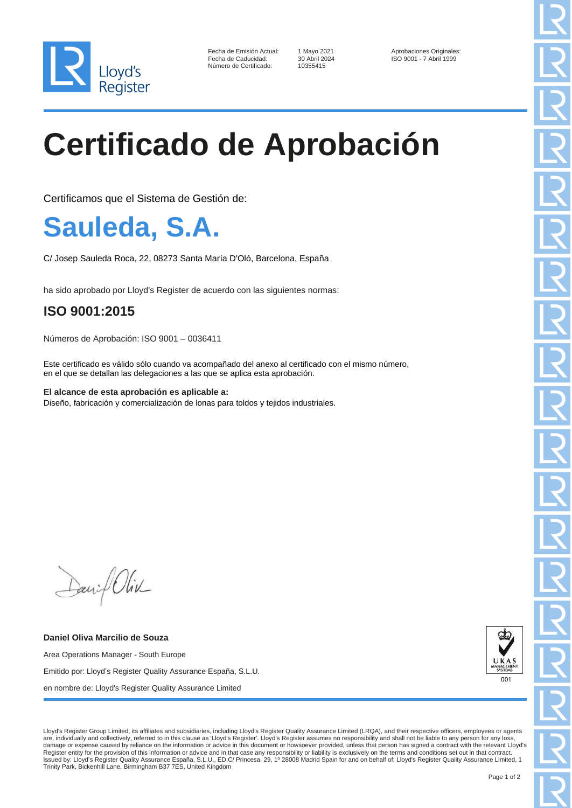

| Fecha de Emisión Actual: |  |
|--------------------------|--|
| Fecha de Caducidad:      |  |
| Número de Certificado:   |  |

10355415

Fecha de Emisión Actual: 1 Mayo 2021 Aprobaciones Originales: Fecha de Caducidad: 30 Abril 2024 ISO 9001 - 7 Abril 1999

## **Certificado de Aprobación**

Certificamos que el Sistema de Gestión de:

## **Sauleda, S.A.**

C/ Josep Sauleda Roca, 22, 08273 Santa María D'Oló, Barcelona, España

ha sido aprobado por Lloyd's Register de acuerdo con las siguientes normas:

## **ISO 9001:2015**

Números de Aprobación: ISO 9001 – 0036411

Este certificado es válido sólo cuando va acompañado del anexo al certificado con el mismo número, en el que se detallan las delegaciones a las que se aplica esta aprobación.

**El alcance de esta aprobación es aplicable a:** Diseño, fabricación y comercialización de lonas para toldos y tejidos industriales.

David Oliv

**Daniel Oliva Marcilio de Souza** Area Operations Manager - South Europe Emitido por: Lloyd's Register Quality Assurance España, S.L.U. en nombre de: Lloyd's Register Quality Assurance Limited



Lloyd's Register Group Limited, its affiliates and subsidiaries, including Lloyd's Register Quality Assurance Limited (LRQA), and their respective officers, employees or agents are, individually and collectively, referred to in this clause as 'Lloyd's Register'. Lloyd's Register assumes no responsibility and shall not be liable to any person for any loss, damage or expense caused by reliance on the information or advice in this document or howsoever provided, unless that person has signed a contract with the relevant Lloyd's Register entity for the provision of this information or advice and in that case any responsibility or liability is exclusively on the terms and conditions set out in that contract.<br>Issued by: Lloyd's Register Quality Assu Trinity Park, Bickenhill Lane, Birmingham B37 7ES, United Kingdom